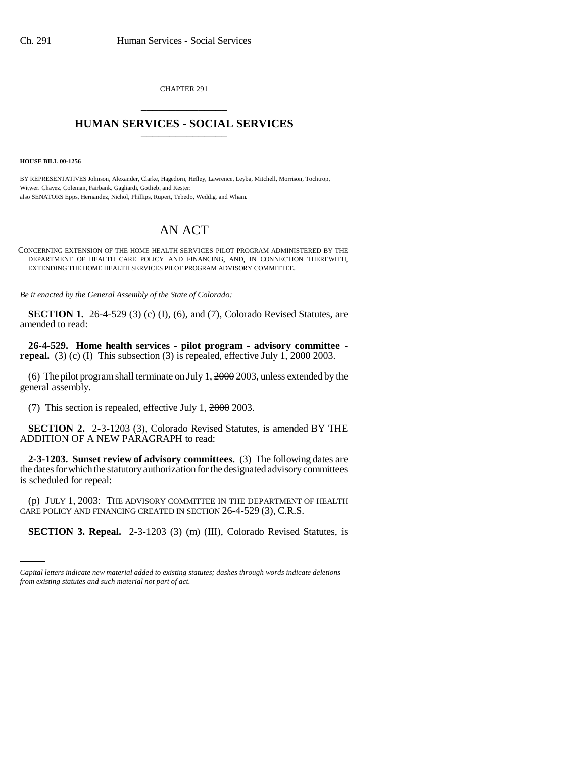CHAPTER 291 \_\_\_\_\_\_\_\_\_\_\_\_\_\_\_

## **HUMAN SERVICES - SOCIAL SERVICES** \_\_\_\_\_\_\_\_\_\_\_\_\_\_\_

**HOUSE BILL 00-1256** 

BY REPRESENTATIVES Johnson, Alexander, Clarke, Hagedorn, Hefley, Lawrence, Leyba, Mitchell, Morrison, Tochtrop, Witwer, Chavez, Coleman, Fairbank, Gagliardi, Gotlieb, and Kester; also SENATORS Epps, Hernandez, Nichol, Phillips, Rupert, Tebedo, Weddig, and Wham.

## AN ACT

CONCERNING EXTENSION OF THE HOME HEALTH SERVICES PILOT PROGRAM ADMINISTERED BY THE DEPARTMENT OF HEALTH CARE POLICY AND FINANCING, AND, IN CONNECTION THEREWITH, EXTENDING THE HOME HEALTH SERVICES PILOT PROGRAM ADVISORY COMMITTEE.

*Be it enacted by the General Assembly of the State of Colorado:*

**SECTION 1.** 26-4-529 (3) (c) (I), (6), and (7), Colorado Revised Statutes, are amended to read:

**26-4-529. Home health services - pilot program - advisory committee repeal.** (3) (c) (I) This subsection (3) is repealed, effective July 1, 2000 2003.

(6) The pilot program shall terminate on July 1,  $2000$  2003, unless extended by the general assembly.

(7) This section is repealed, effective July 1, 2000 2003.

**SECTION 2.** 2-3-1203 (3), Colorado Revised Statutes, is amended BY THE ADDITION OF A NEW PARAGRAPH to read:

**2-3-1203. Sunset review of advisory committees.** (3) The following dates are the dates for which the statutory authorization for the designated advisory committees is scheduled for repeal:

CARE POLICY AND FINANCING CREATED IN SECTION 26-4-529 (3), C.R.S. (p) JULY 1, 2003: THE ADVISORY COMMITTEE IN THE DEPARTMENT OF HEALTH

**SECTION 3. Repeal.** 2-3-1203 (3) (m) (III), Colorado Revised Statutes, is

*Capital letters indicate new material added to existing statutes; dashes through words indicate deletions from existing statutes and such material not part of act.*